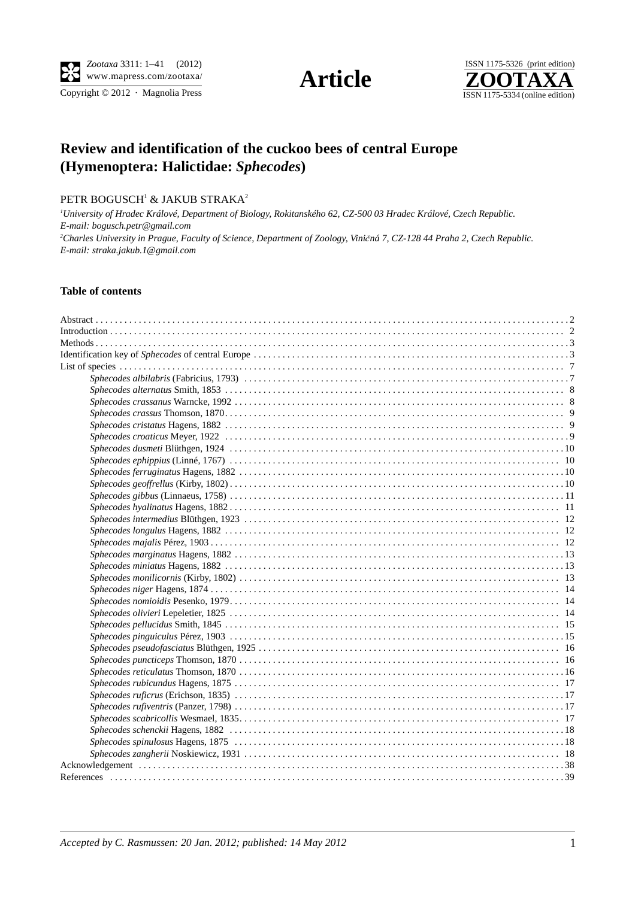Copyright  $\odot$  2012 · Magnolia Press





# **Review and identification of the cuckoo bees of central Europe (Hymenoptera: Halictidae:** *Sphecodes***)**

## PETR BOGUSCH $^1$  & JAKUB STRAKA $^2$

*1 University of Hradec Králové, Department of Biology, Rokitanského 62, CZ-500 03 Hradec Králové, Czech Republic. E-mail: bogusch.petr@gmail.com 2 Charles University in Prague, Faculty of Science, Department of Zoology, Vini*č*ná 7, CZ-128 44 Praha 2, Czech Republic. E-mail: straka.jakub.1@gmail.com*

### **Table of contents**